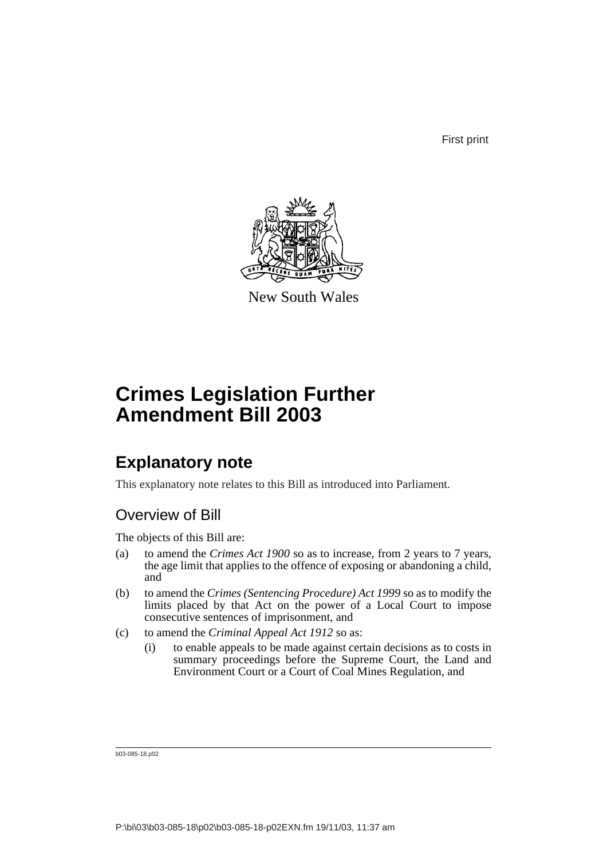First print



New South Wales

# **Crimes Legislation Further Amendment Bill 2003**

# **Explanatory note**

This explanatory note relates to this Bill as introduced into Parliament.

# Overview of Bill

The objects of this Bill are:

- (a) to amend the *Crimes Act 1900* so as to increase, from 2 years to 7 years, the age limit that applies to the offence of exposing or abandoning a child, and
- (b) to amend the *Crimes (Sentencing Procedure) Act 1999* so as to modify the limits placed by that Act on the power of a Local Court to impose consecutive sentences of imprisonment, and
- (c) to amend the *Criminal Appeal Act 1912* so as:
	- (i) to enable appeals to be made against certain decisions as to costs in summary proceedings before the Supreme Court, the Land and Environment Court or a Court of Coal Mines Regulation, and

b03-085-18.p02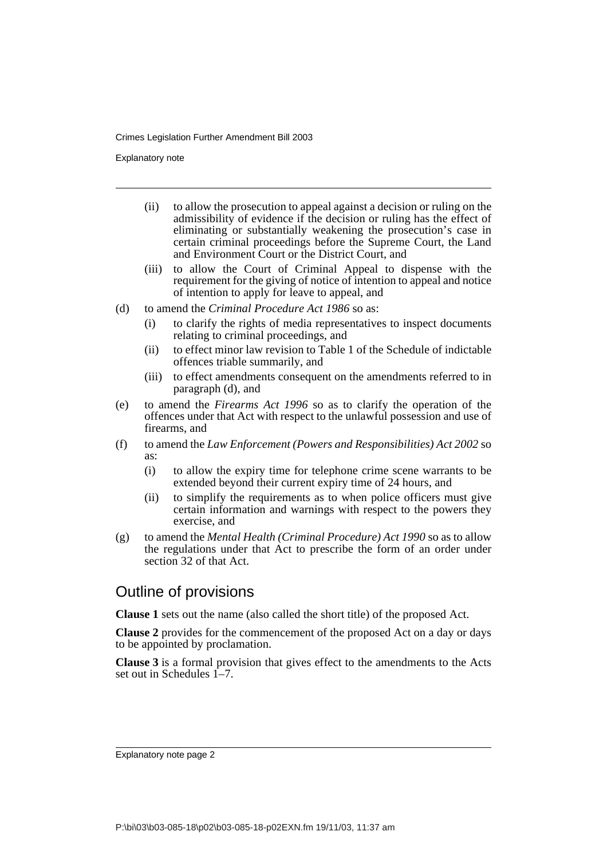Explanatory note

- (ii) to allow the prosecution to appeal against a decision or ruling on the admissibility of evidence if the decision or ruling has the effect of eliminating or substantially weakening the prosecution's case in certain criminal proceedings before the Supreme Court, the Land and Environment Court or the District Court, and
- (iii) to allow the Court of Criminal Appeal to dispense with the requirement for the giving of notice of intention to appeal and notice of intention to apply for leave to appeal, and
- (d) to amend the *Criminal Procedure Act 1986* so as:
	- (i) to clarify the rights of media representatives to inspect documents relating to criminal proceedings, and
	- (ii) to effect minor law revision to Table 1 of the Schedule of indictable offences triable summarily, and
	- (iii) to effect amendments consequent on the amendments referred to in paragraph (d), and
- (e) to amend the *Firearms Act 1996* so as to clarify the operation of the offences under that Act with respect to the unlawful possession and use of firearms, and
- (f) to amend the *Law Enforcement (Powers and Responsibilities) Act 2002* so as:
	- (i) to allow the expiry time for telephone crime scene warrants to be extended beyond their current expiry time of 24 hours, and
	- (ii) to simplify the requirements as to when police officers must give certain information and warnings with respect to the powers they exercise, and
- (g) to amend the *Mental Health (Criminal Procedure) Act 1990* so as to allow the regulations under that Act to prescribe the form of an order under section 32 of that Act.

# Outline of provisions

**Clause 1** sets out the name (also called the short title) of the proposed Act.

**Clause 2** provides for the commencement of the proposed Act on a day or days to be appointed by proclamation.

**Clause 3** is a formal provision that gives effect to the amendments to the Acts set out in Schedules 1–7.

Explanatory note page 2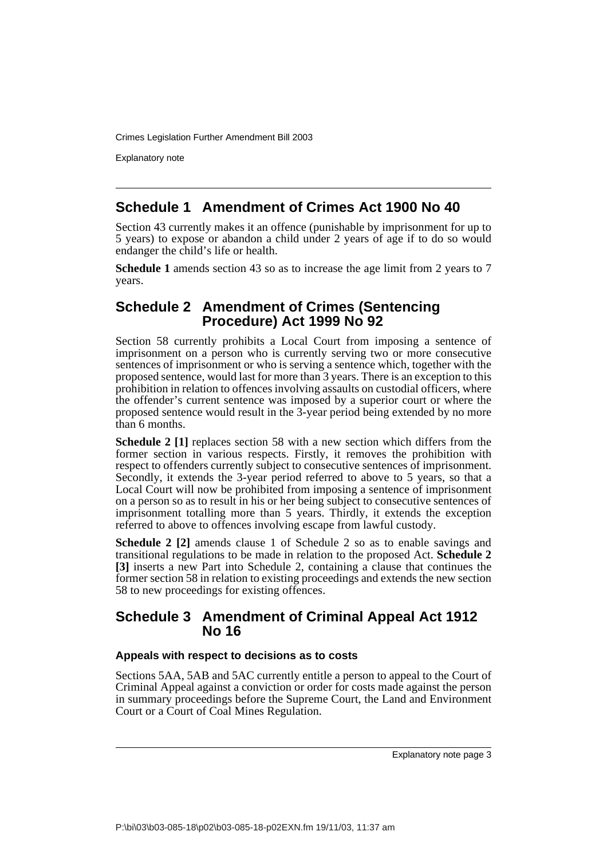Explanatory note

# **Schedule 1 Amendment of Crimes Act 1900 No 40**

Section 43 currently makes it an offence (punishable by imprisonment for up to 5 years) to expose or abandon a child under 2 years of age if to do so would endanger the child's life or health.

**Schedule 1** amends section 43 so as to increase the age limit from 2 years to 7 years.

### **Schedule 2 Amendment of Crimes (Sentencing Procedure) Act 1999 No 92**

Section 58 currently prohibits a Local Court from imposing a sentence of imprisonment on a person who is currently serving two or more consecutive sentences of imprisonment or who is serving a sentence which, together with the proposed sentence, would last for more than 3 years. There is an exception to this prohibition in relation to offences involving assaults on custodial officers, where the offender's current sentence was imposed by a superior court or where the proposed sentence would result in the 3-year period being extended by no more than 6 months.

**Schedule 2 [1]** replaces section 58 with a new section which differs from the former section in various respects. Firstly, it removes the prohibition with respect to offenders currently subject to consecutive sentences of imprisonment. Secondly, it extends the 3-year period referred to above to 5 years, so that a Local Court will now be prohibited from imposing a sentence of imprisonment on a person so as to result in his or her being subject to consecutive sentences of imprisonment totalling more than 5 years. Thirdly, it extends the exception referred to above to offences involving escape from lawful custody.

**Schedule 2 [2]** amends clause 1 of Schedule 2 so as to enable savings and transitional regulations to be made in relation to the proposed Act. **Schedule 2 [3]** inserts a new Part into Schedule 2, containing a clause that continues the former section 58 in relation to existing proceedings and extends the new section 58 to new proceedings for existing offences.

# **Schedule 3 Amendment of Criminal Appeal Act 1912 No 16**

### **Appeals with respect to decisions as to costs**

Sections 5AA, 5AB and 5AC currently entitle a person to appeal to the Court of Criminal Appeal against a conviction or order for costs made against the person in summary proceedings before the Supreme Court, the Land and Environment Court or a Court of Coal Mines Regulation.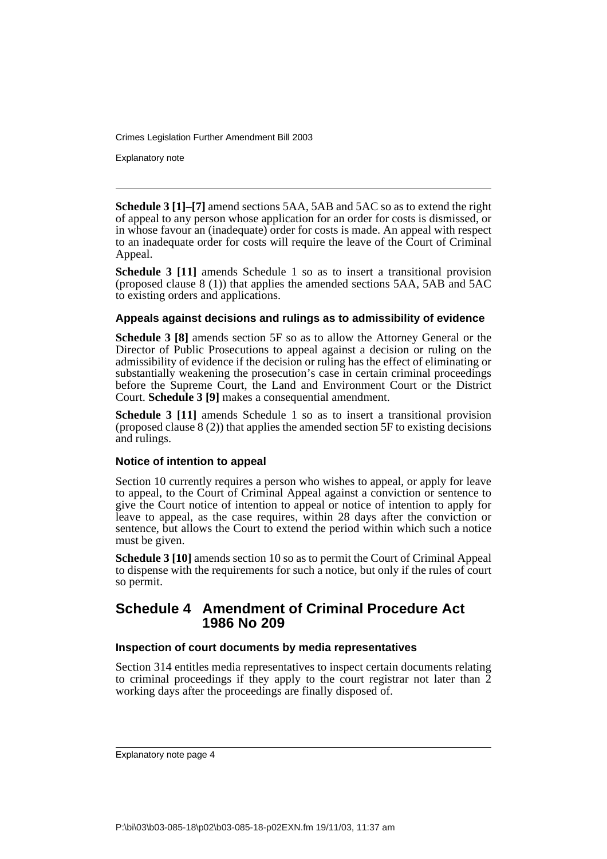Explanatory note

**Schedule 3 [1]–[7]** amend sections 5AA, 5AB and 5AC so as to extend the right of appeal to any person whose application for an order for costs is dismissed, or in whose favour an (inadequate) order for costs is made. An appeal with respect to an inadequate order for costs will require the leave of the Court of Criminal Appeal.

**Schedule 3 [11]** amends Schedule 1 so as to insert a transitional provision (proposed clause 8 (1)) that applies the amended sections 5AA, 5AB and 5AC to existing orders and applications.

### **Appeals against decisions and rulings as to admissibility of evidence**

**Schedule 3 [8]** amends section 5F so as to allow the Attorney General or the Director of Public Prosecutions to appeal against a decision or ruling on the admissibility of evidence if the decision or ruling has the effect of eliminating or substantially weakening the prosecution's case in certain criminal proceedings before the Supreme Court, the Land and Environment Court or the District Court. **Schedule 3 [9]** makes a consequential amendment.

**Schedule 3 [11]** amends Schedule 1 so as to insert a transitional provision (proposed clause 8 (2)) that applies the amended section 5F to existing decisions and rulings.

### **Notice of intention to appeal**

Section 10 currently requires a person who wishes to appeal, or apply for leave to appeal, to the Court of Criminal Appeal against a conviction or sentence to give the Court notice of intention to appeal or notice of intention to apply for leave to appeal, as the case requires, within 28 days after the conviction or sentence, but allows the Court to extend the period within which such a notice must be given.

**Schedule 3 [10]** amends section 10 so as to permit the Court of Criminal Appeal to dispense with the requirements for such a notice, but only if the rules of court so permit.

# **Schedule 4 Amendment of Criminal Procedure Act 1986 No 209**

### **Inspection of court documents by media representatives**

Section 314 entitles media representatives to inspect certain documents relating to criminal proceedings if they apply to the court registrar not later than  $\overline{2}$ working days after the proceedings are finally disposed of.

Explanatory note page 4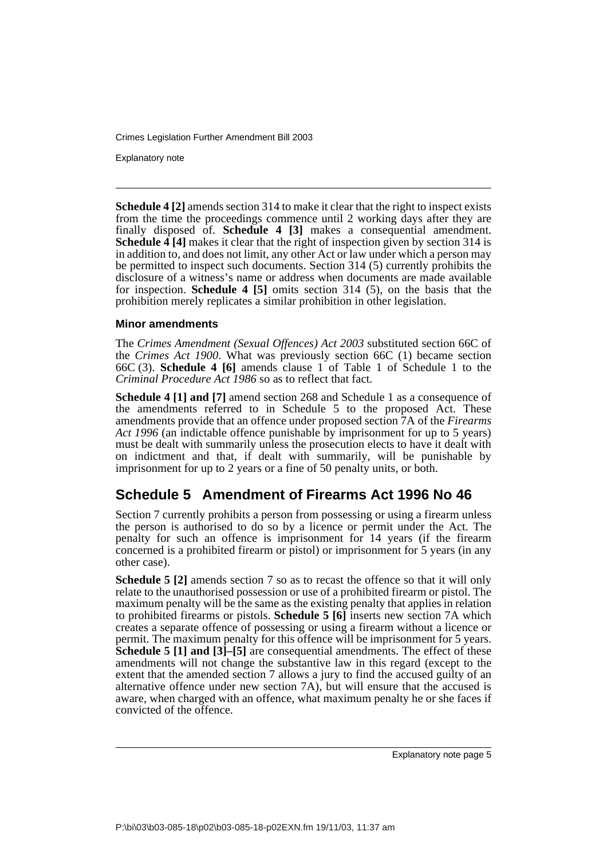Explanatory note

**Schedule 4 [2]** amends section 314 to make it clear that the right to inspect exists from the time the proceedings commence until 2 working days after they are finally disposed of. **Schedule 4 [3]** makes a consequential amendment. **Schedule 4 [4]** makes it clear that the right of inspection given by section 314 is in addition to, and does not limit, any other Act or law under which a person may be permitted to inspect such documents. Section 314 (5) currently prohibits the disclosure of a witness's name or address when documents are made available for inspection. **Schedule 4 [5]** omits section 314 (5), on the basis that the prohibition merely replicates a similar prohibition in other legislation.

### **Minor amendments**

The *Crimes Amendment (Sexual Offences) Act 2003* substituted section 66C of the *Crimes Act 1900*. What was previously section 66C (1) became section 66C (3). **Schedule 4 [6]** amends clause 1 of Table 1 of Schedule 1 to the *Criminal Procedure Act 1986* so as to reflect that fact.

**Schedule 4 [1] and [7]** amend section 268 and Schedule 1 as a consequence of the amendments referred to in Schedule 5 to the proposed Act. These amendments provide that an offence under proposed section 7A of the *Firearms Act 1996* (an indictable offence punishable by imprisonment for up to 5 years) must be dealt with summarily unless the prosecution elects to have it dealt with on indictment and that, if dealt with summarily, will be punishable by imprisonment for up to 2 years or a fine of 50 penalty units, or both.

# **Schedule 5 Amendment of Firearms Act 1996 No 46**

Section 7 currently prohibits a person from possessing or using a firearm unless the person is authorised to do so by a licence or permit under the Act. The penalty for such an offence is imprisonment for 14 years (if the firearm concerned is a prohibited firearm or pistol) or imprisonment for 5 years (in any other case).

**Schedule 5 [2]** amends section 7 so as to recast the offence so that it will only relate to the unauthorised possession or use of a prohibited firearm or pistol. The maximum penalty will be the same as the existing penalty that applies in relation to prohibited firearms or pistols. **Schedule 5 [6]** inserts new section 7A which creates a separate offence of possessing or using a firearm without a licence or permit. The maximum penalty for this offence will be imprisonment for 5 years. **Schedule 5 [1] and [3]–[5]** are consequential amendments. The effect of these amendments will not change the substantive law in this regard (except to the extent that the amended section 7 allows a jury to find the accused guilty of an alternative offence under new section 7A), but will ensure that the accused is aware, when charged with an offence, what maximum penalty he or she faces if convicted of the offence.

Explanatory note page 5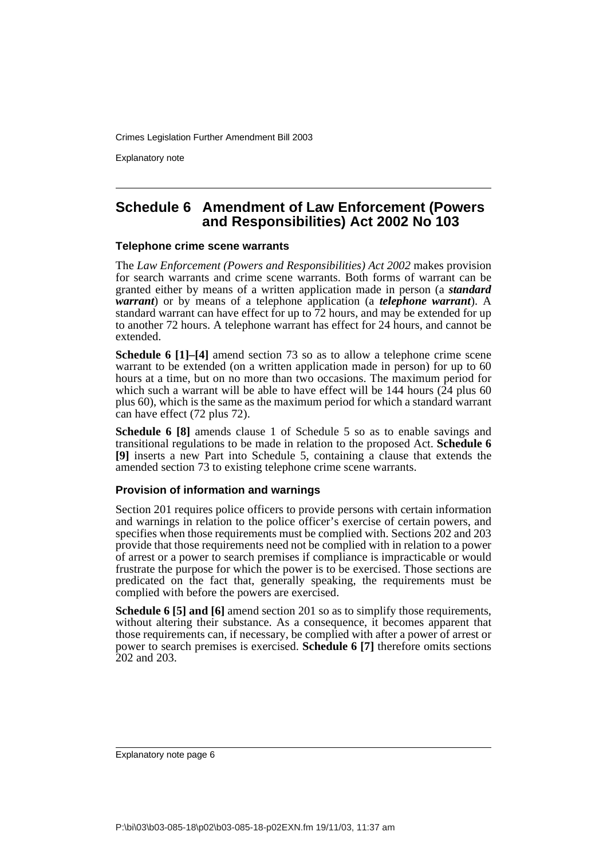Explanatory note

# **Schedule 6 Amendment of Law Enforcement (Powers and Responsibilities) Act 2002 No 103**

### **Telephone crime scene warrants**

The *Law Enforcement (Powers and Responsibilities) Act 2002* makes provision for search warrants and crime scene warrants. Both forms of warrant can be granted either by means of a written application made in person (a *standard warrant*) or by means of a telephone application (a *telephone warrant*). A standard warrant can have effect for up to 72 hours, and may be extended for up to another 72 hours. A telephone warrant has effect for 24 hours, and cannot be extended.

**Schedule 6 [1]–[4]** amend section 73 so as to allow a telephone crime scene warrant to be extended (on a written application made in person) for up to 60 hours at a time, but on no more than two occasions. The maximum period for which such a warrant will be able to have effect will be  $144$  hours ( $\overline{24}$  plus 60) plus 60), which is the same as the maximum period for which a standard warrant can have effect (72 plus 72).

**Schedule 6 [8]** amends clause 1 of Schedule 5 so as to enable savings and transitional regulations to be made in relation to the proposed Act. **Schedule 6 [9]** inserts a new Part into Schedule 5, containing a clause that extends the amended section 73 to existing telephone crime scene warrants.

### **Provision of information and warnings**

Section 201 requires police officers to provide persons with certain information and warnings in relation to the police officer's exercise of certain powers, and specifies when those requirements must be complied with. Sections 202 and 203 provide that those requirements need not be complied with in relation to a power of arrest or a power to search premises if compliance is impracticable or would frustrate the purpose for which the power is to be exercised. Those sections are predicated on the fact that, generally speaking, the requirements must be complied with before the powers are exercised.

**Schedule 6 [5] and [6]** amend section 201 so as to simplify those requirements, without altering their substance. As a consequence, it becomes apparent that those requirements can, if necessary, be complied with after a power of arrest or power to search premises is exercised. **Schedule 6 [7]** therefore omits sections 202 and 203.

Explanatory note page 6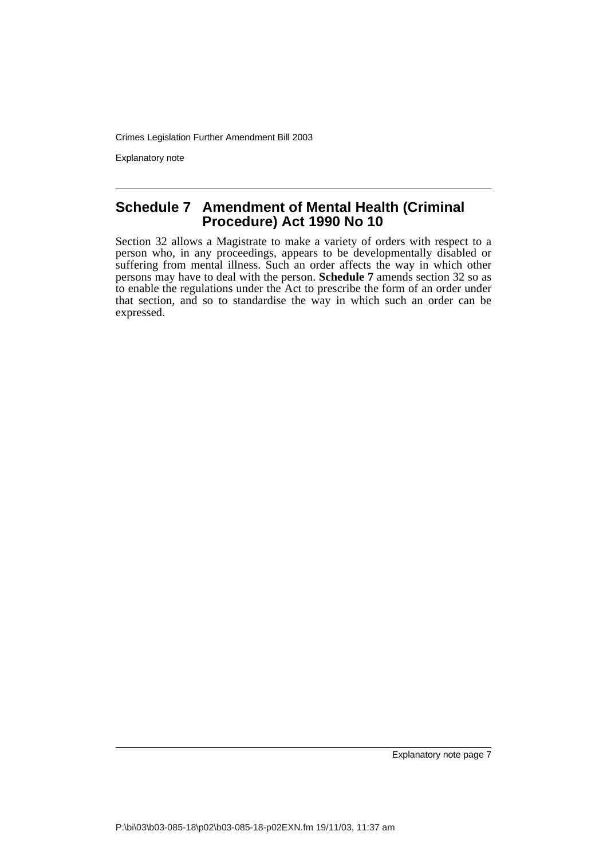Explanatory note

# **Schedule 7 Amendment of Mental Health (Criminal Procedure) Act 1990 No 10**

Section 32 allows a Magistrate to make a variety of orders with respect to a person who, in any proceedings, appears to be developmentally disabled or suffering from mental illness. Such an order affects the way in which other persons may have to deal with the person. **Schedule 7** amends section 32 so as to enable the regulations under the Act to prescribe the form of an order under that section, and so to standardise the way in which such an order can be expressed.

Explanatory note page 7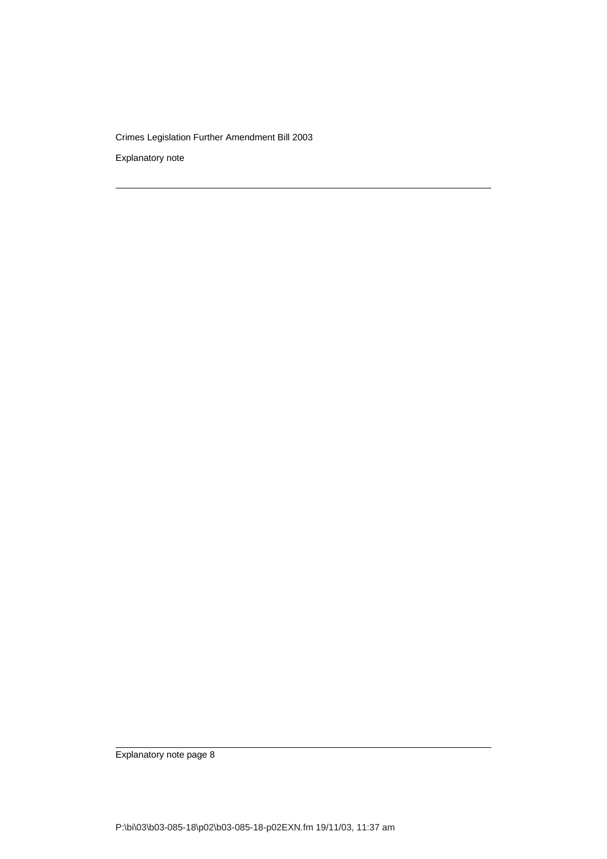Explanatory note

Explanatory note page 8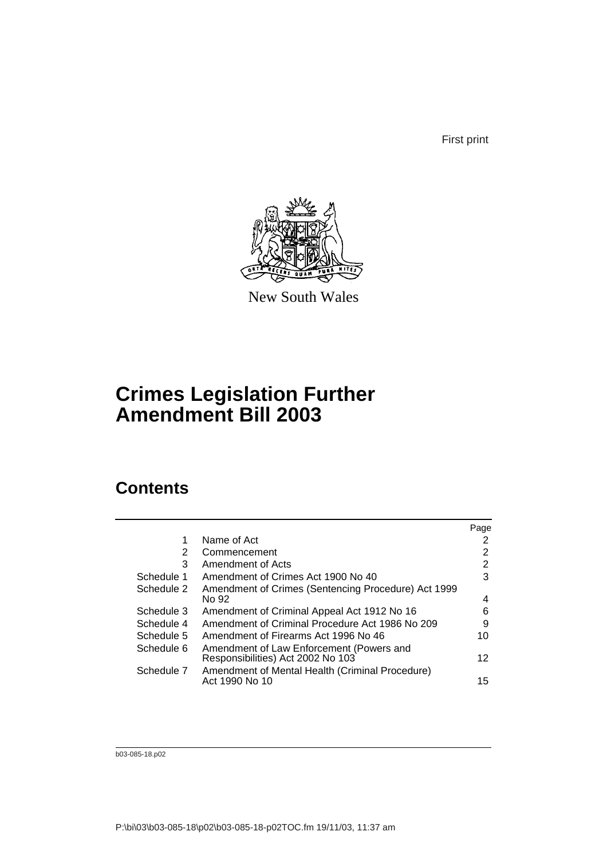First print



New South Wales

# **Crimes Legislation Further Amendment Bill 2003**

# **Contents**

|            |                                                                               | Page           |
|------------|-------------------------------------------------------------------------------|----------------|
| 1          | Name of Act                                                                   | 2              |
| 2          | Commencement                                                                  | 2              |
| 3          | Amendment of Acts                                                             | $\overline{2}$ |
| Schedule 1 | Amendment of Crimes Act 1900 No 40                                            | 3              |
| Schedule 2 | Amendment of Crimes (Sentencing Procedure) Act 1999<br>No 92                  | 4              |
| Schedule 3 | Amendment of Criminal Appeal Act 1912 No 16                                   | 6              |
| Schedule 4 | Amendment of Criminal Procedure Act 1986 No 209                               | 9              |
| Schedule 5 | Amendment of Firearms Act 1996 No 46                                          | 10             |
| Schedule 6 | Amendment of Law Enforcement (Powers and<br>Responsibilities) Act 2002 No 103 | 12             |
| Schedule 7 | Amendment of Mental Health (Criminal Procedure)<br>Act 1990 No 10             | 15             |

b03-085-18.p02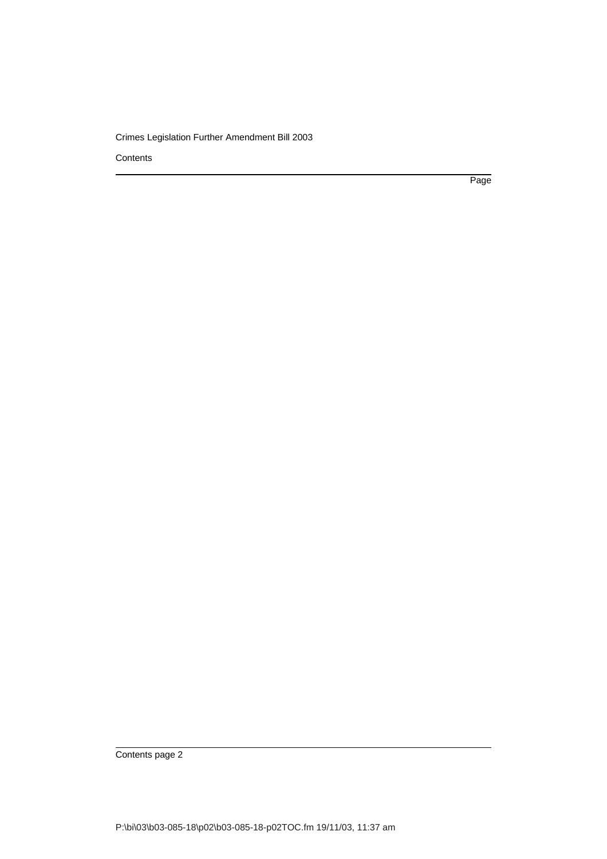**Contents** 

Page

Contents page 2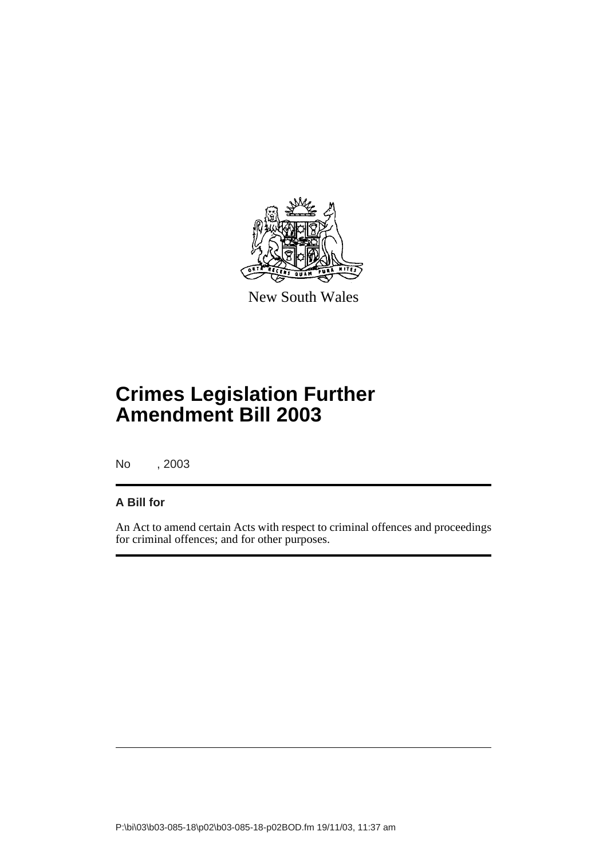

New South Wales

# **Crimes Legislation Further Amendment Bill 2003**

No , 2003

# **A Bill for**

An Act to amend certain Acts with respect to criminal offences and proceedings for criminal offences; and for other purposes.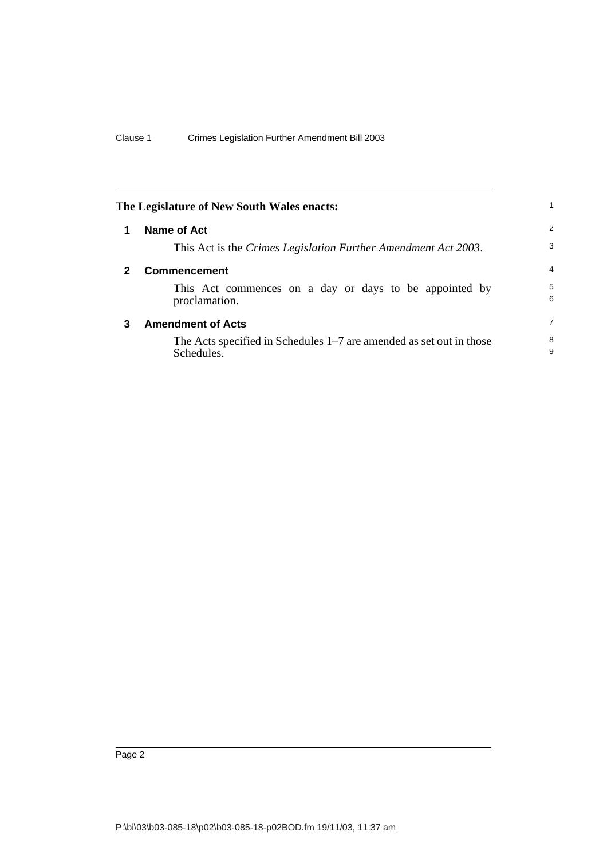|              | The Legislature of New South Wales enacts:                                          | 1              |
|--------------|-------------------------------------------------------------------------------------|----------------|
| 1            | Name of Act                                                                         | 2              |
|              | This Act is the Crimes Legislation Further Amendment Act 2003.                      | 3              |
| $\mathbf{2}$ | <b>Commencement</b>                                                                 | $\overline{4}$ |
|              | This Act commences on a day or days to be appointed by<br>proclamation.             | 5<br>6         |
| 3            | <b>Amendment of Acts</b>                                                            | $\overline{7}$ |
|              | The Acts specified in Schedules $1-7$ are amended as set out in those<br>Schedules. | 8<br>9         |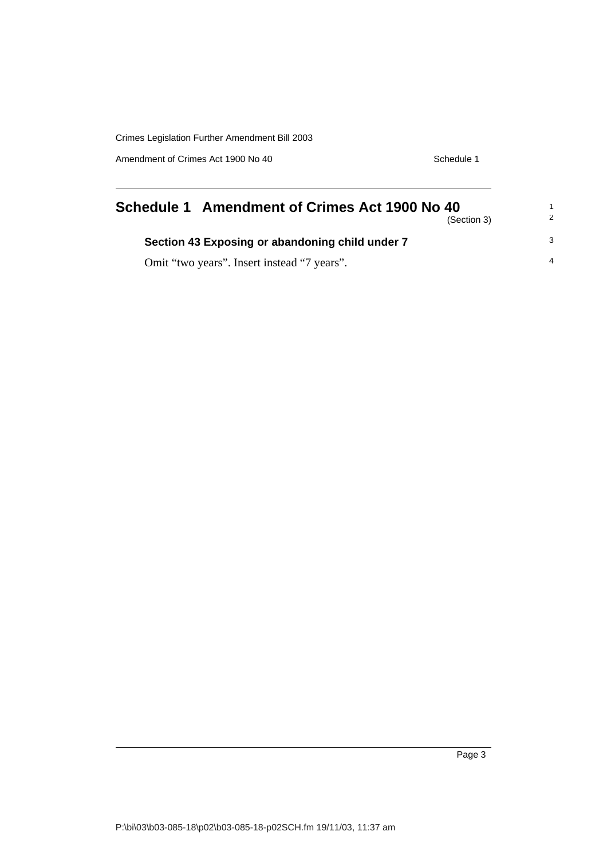Amendment of Crimes Act 1900 No 40 Schedule 1

| Schedule 1 Amendment of Crimes Act 1900 No 40<br>(Section 3) | 1<br>$\mathcal{P}$ |
|--------------------------------------------------------------|--------------------|
| Section 43 Exposing or abandoning child under 7              | 3                  |
| Omit "two years". Insert instead "7 years".                  |                    |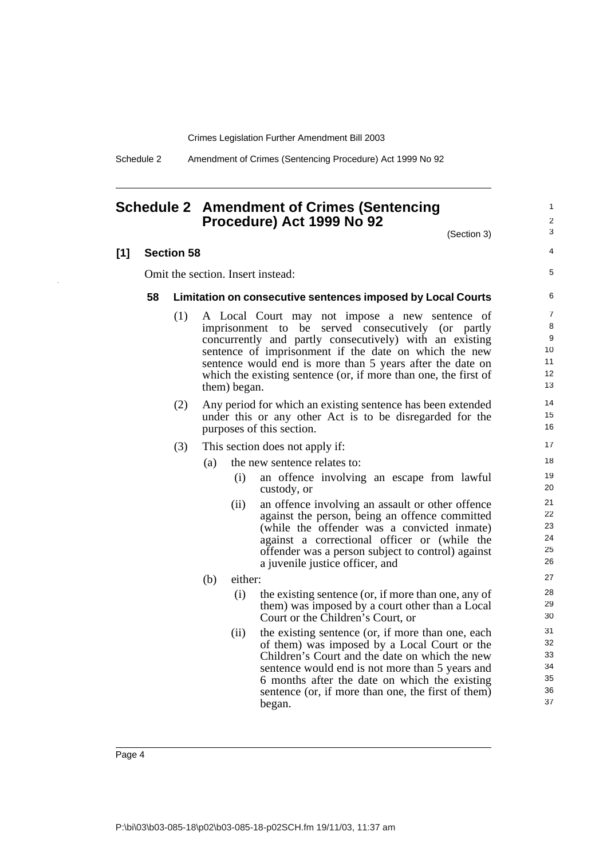Schedule 2 Amendment of Crimes (Sentencing Procedure) Act 1999 No 92

### **Schedule 2 Amendment of Crimes (Sentencing Procedure) Act 1999 No 92**

(Section 3)

### **[1] Section 58**

Omit the section. Insert instead:

#### **58 Limitation on consecutive sentences imposed by Local Courts**

- (1) A Local Court may not impose a new sentence of imprisonment to be served consecutively (or partly concurrently and partly consecutively) with an existing sentence of imprisonment if the date on which the new sentence would end is more than 5 years after the date on which the existing sentence (or, if more than one, the first of them) began.
- (2) Any period for which an existing sentence has been extended under this or any other Act is to be disregarded for the purposes of this section.

#### (3) This section does not apply if:

- (a) the new sentence relates to:
	- (i) an offence involving an escape from lawful custody, or
	- (ii) an offence involving an assault or other offence against the person, being an offence committed (while the offender was a convicted inmate) against a correctional officer or (while the offender was a person subject to control) against a juvenile justice officer, and

#### (b) either:

- (i) the existing sentence (or, if more than one, any of them) was imposed by a court other than a Local Court or the Children's Court, or
- (ii) the existing sentence (or, if more than one, each of them) was imposed by a Local Court or the Children's Court and the date on which the new sentence would end is not more than 5 years and 6 months after the date on which the existing sentence (or, if more than one, the first of them) began.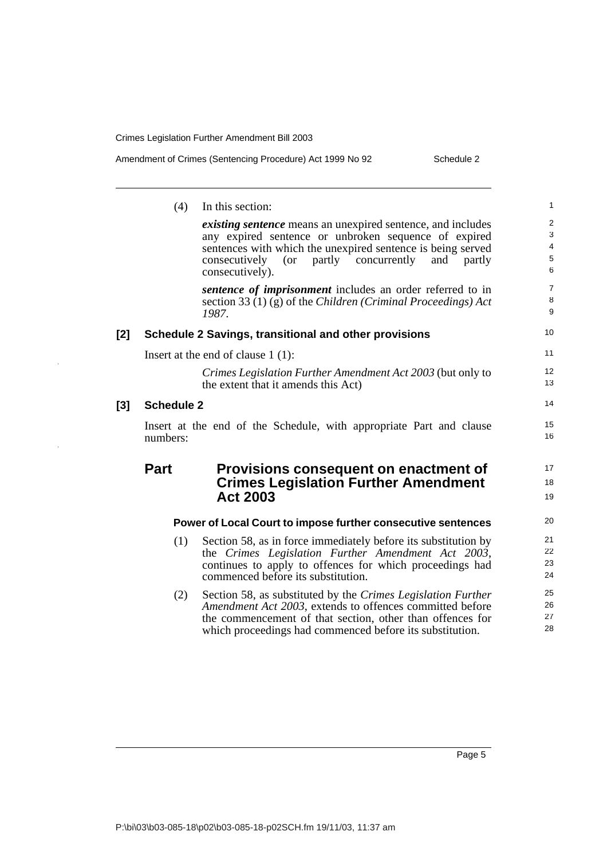$\hat{\boldsymbol{\beta}}$ 

 $\hat{\boldsymbol{\beta}}$ 

| Amendment of Crimes (Sentencing Procedure) Act 1999 No 92 |  |  |  | Schedule 2 |
|-----------------------------------------------------------|--|--|--|------------|
|-----------------------------------------------------------|--|--|--|------------|

| (4)<br>In this section:<br><i>existing sentence</i> means an unexpired sentence, and includes<br>any expired sentence or unbroken sequence of expired<br>sentences with which the unexpired sentence is being served<br>consecutively<br>partly<br>concurrently<br>(or<br>and<br>partly<br>consecutively).<br>sentence of <i>imprisonment</i> includes an order referred to in<br>section 33 (1) (g) of the Children (Criminal Proceedings) Act<br>1987.<br>Schedule 2 Savings, transitional and other provisions<br>$[2]$<br>Insert at the end of clause $1(1)$ :<br>Crimes Legislation Further Amendment Act 2003 (but only to<br>the extent that it amends this Act)<br><b>Schedule 2</b><br>$[3]$ | $\mathbf{1}$                                    |
|-------------------------------------------------------------------------------------------------------------------------------------------------------------------------------------------------------------------------------------------------------------------------------------------------------------------------------------------------------------------------------------------------------------------------------------------------------------------------------------------------------------------------------------------------------------------------------------------------------------------------------------------------------------------------------------------------------|-------------------------------------------------|
|                                                                                                                                                                                                                                                                                                                                                                                                                                                                                                                                                                                                                                                                                                       |                                                 |
|                                                                                                                                                                                                                                                                                                                                                                                                                                                                                                                                                                                                                                                                                                       | $\overline{2}$<br>3<br>$\overline{4}$<br>5<br>6 |
|                                                                                                                                                                                                                                                                                                                                                                                                                                                                                                                                                                                                                                                                                                       | $\overline{7}$<br>8<br>9                        |
|                                                                                                                                                                                                                                                                                                                                                                                                                                                                                                                                                                                                                                                                                                       | 10                                              |
|                                                                                                                                                                                                                                                                                                                                                                                                                                                                                                                                                                                                                                                                                                       | 11                                              |
|                                                                                                                                                                                                                                                                                                                                                                                                                                                                                                                                                                                                                                                                                                       | $12 \overline{ }$<br>13                         |
|                                                                                                                                                                                                                                                                                                                                                                                                                                                                                                                                                                                                                                                                                                       | 14                                              |
| Insert at the end of the Schedule, with appropriate Part and clause<br>numbers:                                                                                                                                                                                                                                                                                                                                                                                                                                                                                                                                                                                                                       | 15<br>16                                        |
| <b>Part</b><br>Provisions consequent on enactment of<br><b>Crimes Legislation Further Amendment</b><br><b>Act 2003</b>                                                                                                                                                                                                                                                                                                                                                                                                                                                                                                                                                                                | 17<br>18<br>19                                  |
| Power of Local Court to impose further consecutive sentences                                                                                                                                                                                                                                                                                                                                                                                                                                                                                                                                                                                                                                          | 20                                              |
| Section 58, as in force immediately before its substitution by<br>(1)<br>the Crimes Legislation Further Amendment Act 2003,<br>continues to apply to offences for which proceedings had<br>commenced before its substitution.                                                                                                                                                                                                                                                                                                                                                                                                                                                                         | 21<br>22<br>23<br>24                            |
| (2)<br>Section 58, as substituted by the Crimes Legislation Further<br>Amendment Act 2003, extends to offences committed before<br>the commencement of that section, other than offences for<br>which proceedings had commenced before its substitution.                                                                                                                                                                                                                                                                                                                                                                                                                                              | 25<br>26<br>27                                  |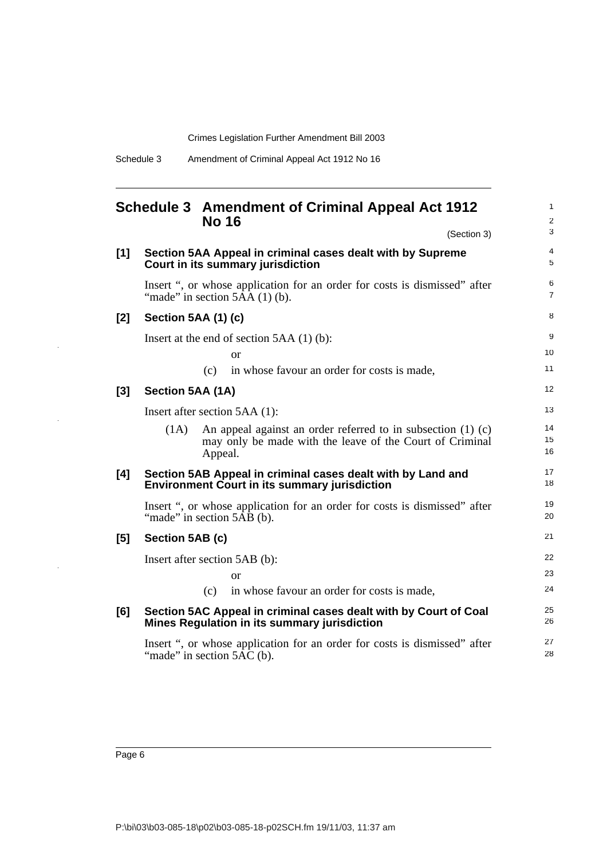### **Schedule 3 Amendment of Criminal Appeal Act 1912 No 16**

(Section 3)

| [1]   | Section 5AA Appeal in criminal cases dealt with by Supreme<br>Court in its summary jurisdiction                     | $\overline{4}$<br>5 |
|-------|---------------------------------------------------------------------------------------------------------------------|---------------------|
|       | Insert ", or whose application for an order for costs is dismissed" after<br>"made" in section $5AA(1)$ (b).        | 6<br>$\overline{7}$ |
| [2]   | Section 5AA (1) (c)                                                                                                 | 8                   |
|       | Insert at the end of section $5AA(1)$ (b):                                                                          | 9                   |
|       | or                                                                                                                  | 10                  |
|       | in whose favour an order for costs is made,<br>(c)                                                                  | 11                  |
| $[3]$ | Section 5AA (1A)                                                                                                    | 12                  |
|       | Insert after section 5AA (1):                                                                                       | 13                  |
|       | An appeal against an order referred to in subsection $(1)$ $(c)$<br>(1A)                                            | 14                  |
|       | may only be made with the leave of the Court of Criminal<br>Appeal.                                                 | 15<br>16            |
| [4]   | Section 5AB Appeal in criminal cases dealt with by Land and<br><b>Environment Court in its summary jurisdiction</b> | 17<br>18            |
|       | Insert ", or whose application for an order for costs is dismissed" after<br>"made" in section 5AB (b).             | 19<br>20            |
| $[5]$ | Section 5AB (c)                                                                                                     | 21                  |
|       | Insert after section 5AB (b):                                                                                       | 22                  |
|       | <sub>or</sub>                                                                                                       | 23                  |
|       | in whose favour an order for costs is made,<br>(c)                                                                  | 24                  |
| [6]   | Section 5AC Appeal in criminal cases dealt with by Court of Coal<br>Mines Regulation in its summary jurisdiction    | 25<br>26            |
|       | Insert ", or whose application for an order for costs is dismissed" after<br>"made" in section 5AC (b).             | 27<br>28            |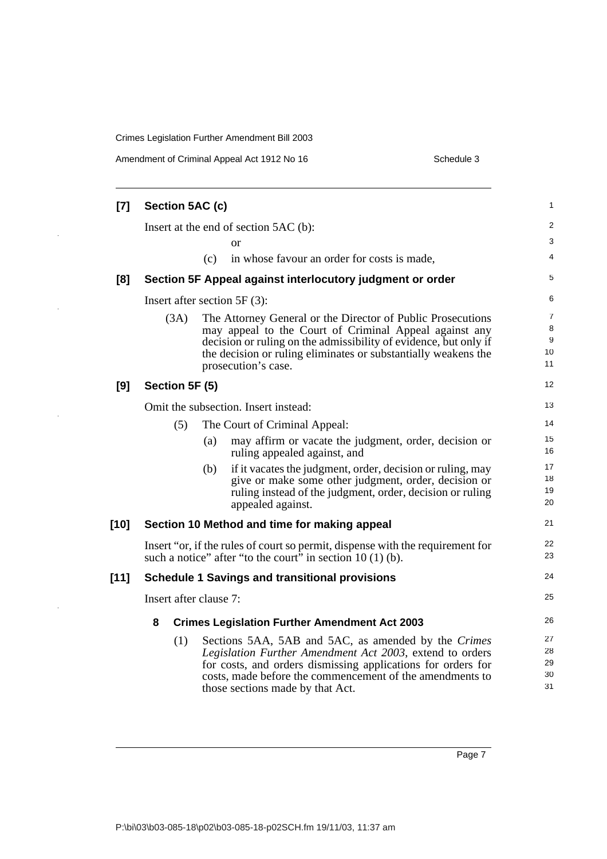Amendment of Criminal Appeal Act 1912 No 16 Schedule 3

| Section 5AC (c)<br>$[7]$<br>Insert at the end of section 5AC (b):<br>$\alpha$<br>in whose favour an order for costs is made,<br>(c)<br>[8]<br>Section 5F Appeal against interlocutory judgment or order<br>Insert after section $5F(3)$ :<br>The Attorney General or the Director of Public Prosecutions<br>(3A)<br>may appeal to the Court of Criminal Appeal against any<br>decision or ruling on the admissibility of evidence, but only if<br>the decision or ruling eliminates or substantially weakens the<br>prosecution's case.<br>[9]<br>Section 5F (5)<br>Omit the subsection. Insert instead:<br>(5)<br>The Court of Criminal Appeal:<br>may affirm or vacate the judgment, order, decision or<br>(a)<br>ruling appealed against, and<br>if it vacates the judgment, order, decision or ruling, may<br>(b)<br>give or make some other judgment, order, decision or<br>ruling instead of the judgment, order, decision or ruling<br>appealed against.<br>$[10]$<br>Section 10 Method and time for making appeal<br>Insert "or, if the rules of court so permit, dispense with the requirement for<br>such a notice" after "to the court" in section $10(1)(b)$ .<br>$[11]$<br><b>Schedule 1 Savings and transitional provisions</b><br>Insert after clause 7:<br>8<br><b>Crimes Legislation Further Amendment Act 2003</b><br>(1)<br>Sections 5AA, 5AB and 5AC, as amended by the Crimes<br>Legislation Further Amendment Act 2003, extend to orders<br>for costs, and orders dismissing applications for orders for<br>costs, made before the commencement of the amendments to<br>those sections made by that Act. |  |                            |
|--------------------------------------------------------------------------------------------------------------------------------------------------------------------------------------------------------------------------------------------------------------------------------------------------------------------------------------------------------------------------------------------------------------------------------------------------------------------------------------------------------------------------------------------------------------------------------------------------------------------------------------------------------------------------------------------------------------------------------------------------------------------------------------------------------------------------------------------------------------------------------------------------------------------------------------------------------------------------------------------------------------------------------------------------------------------------------------------------------------------------------------------------------------------------------------------------------------------------------------------------------------------------------------------------------------------------------------------------------------------------------------------------------------------------------------------------------------------------------------------------------------------------------------------------------------------------------------------------------------------------------|--|----------------------------|
|                                                                                                                                                                                                                                                                                                                                                                                                                                                                                                                                                                                                                                                                                                                                                                                                                                                                                                                                                                                                                                                                                                                                                                                                                                                                                                                                                                                                                                                                                                                                                                                                                                |  | 1                          |
|                                                                                                                                                                                                                                                                                                                                                                                                                                                                                                                                                                                                                                                                                                                                                                                                                                                                                                                                                                                                                                                                                                                                                                                                                                                                                                                                                                                                                                                                                                                                                                                                                                |  | 2                          |
|                                                                                                                                                                                                                                                                                                                                                                                                                                                                                                                                                                                                                                                                                                                                                                                                                                                                                                                                                                                                                                                                                                                                                                                                                                                                                                                                                                                                                                                                                                                                                                                                                                |  | 3                          |
|                                                                                                                                                                                                                                                                                                                                                                                                                                                                                                                                                                                                                                                                                                                                                                                                                                                                                                                                                                                                                                                                                                                                                                                                                                                                                                                                                                                                                                                                                                                                                                                                                                |  | 4                          |
|                                                                                                                                                                                                                                                                                                                                                                                                                                                                                                                                                                                                                                                                                                                                                                                                                                                                                                                                                                                                                                                                                                                                                                                                                                                                                                                                                                                                                                                                                                                                                                                                                                |  | 5                          |
|                                                                                                                                                                                                                                                                                                                                                                                                                                                                                                                                                                                                                                                                                                                                                                                                                                                                                                                                                                                                                                                                                                                                                                                                                                                                                                                                                                                                                                                                                                                                                                                                                                |  | 6                          |
|                                                                                                                                                                                                                                                                                                                                                                                                                                                                                                                                                                                                                                                                                                                                                                                                                                                                                                                                                                                                                                                                                                                                                                                                                                                                                                                                                                                                                                                                                                                                                                                                                                |  | 7<br>8<br>9<br>10<br>11    |
|                                                                                                                                                                                                                                                                                                                                                                                                                                                                                                                                                                                                                                                                                                                                                                                                                                                                                                                                                                                                                                                                                                                                                                                                                                                                                                                                                                                                                                                                                                                                                                                                                                |  | 12                         |
|                                                                                                                                                                                                                                                                                                                                                                                                                                                                                                                                                                                                                                                                                                                                                                                                                                                                                                                                                                                                                                                                                                                                                                                                                                                                                                                                                                                                                                                                                                                                                                                                                                |  | 13                         |
|                                                                                                                                                                                                                                                                                                                                                                                                                                                                                                                                                                                                                                                                                                                                                                                                                                                                                                                                                                                                                                                                                                                                                                                                                                                                                                                                                                                                                                                                                                                                                                                                                                |  | 14                         |
|                                                                                                                                                                                                                                                                                                                                                                                                                                                                                                                                                                                                                                                                                                                                                                                                                                                                                                                                                                                                                                                                                                                                                                                                                                                                                                                                                                                                                                                                                                                                                                                                                                |  | 15<br>16                   |
|                                                                                                                                                                                                                                                                                                                                                                                                                                                                                                                                                                                                                                                                                                                                                                                                                                                                                                                                                                                                                                                                                                                                                                                                                                                                                                                                                                                                                                                                                                                                                                                                                                |  | 17<br>18<br>19<br>20       |
|                                                                                                                                                                                                                                                                                                                                                                                                                                                                                                                                                                                                                                                                                                                                                                                                                                                                                                                                                                                                                                                                                                                                                                                                                                                                                                                                                                                                                                                                                                                                                                                                                                |  | 21                         |
|                                                                                                                                                                                                                                                                                                                                                                                                                                                                                                                                                                                                                                                                                                                                                                                                                                                                                                                                                                                                                                                                                                                                                                                                                                                                                                                                                                                                                                                                                                                                                                                                                                |  | 22<br>23                   |
|                                                                                                                                                                                                                                                                                                                                                                                                                                                                                                                                                                                                                                                                                                                                                                                                                                                                                                                                                                                                                                                                                                                                                                                                                                                                                                                                                                                                                                                                                                                                                                                                                                |  | 24                         |
|                                                                                                                                                                                                                                                                                                                                                                                                                                                                                                                                                                                                                                                                                                                                                                                                                                                                                                                                                                                                                                                                                                                                                                                                                                                                                                                                                                                                                                                                                                                                                                                                                                |  | 25                         |
|                                                                                                                                                                                                                                                                                                                                                                                                                                                                                                                                                                                                                                                                                                                                                                                                                                                                                                                                                                                                                                                                                                                                                                                                                                                                                                                                                                                                                                                                                                                                                                                                                                |  | 26                         |
|                                                                                                                                                                                                                                                                                                                                                                                                                                                                                                                                                                                                                                                                                                                                                                                                                                                                                                                                                                                                                                                                                                                                                                                                                                                                                                                                                                                                                                                                                                                                                                                                                                |  | 27<br>28<br>29<br>30<br>31 |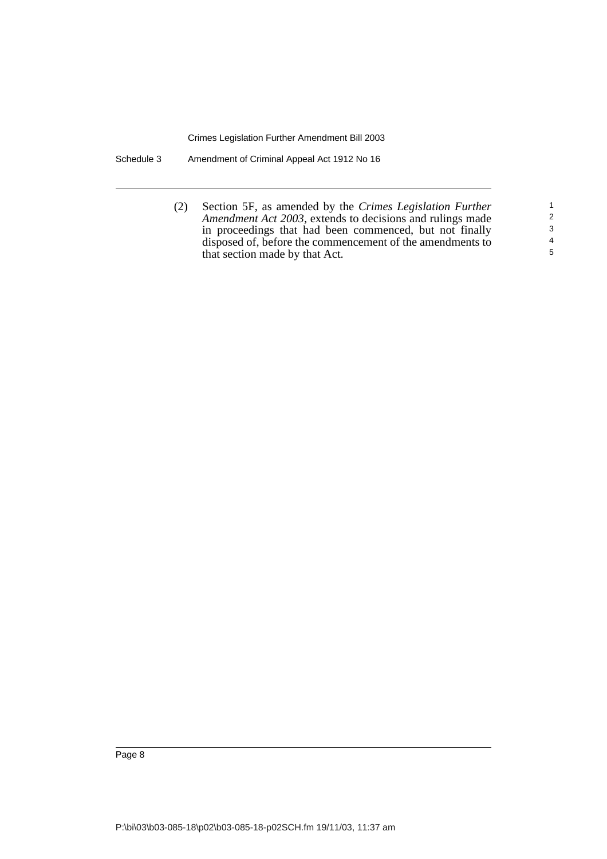Schedule 3 Amendment of Criminal Appeal Act 1912 No 16

(2) Section 5F, as amended by the *Crimes Legislation Further Amendment Act 2003*, extends to decisions and rulings made in proceedings that had been commenced, but not finally disposed of, before the commencement of the amendments to that section made by that Act.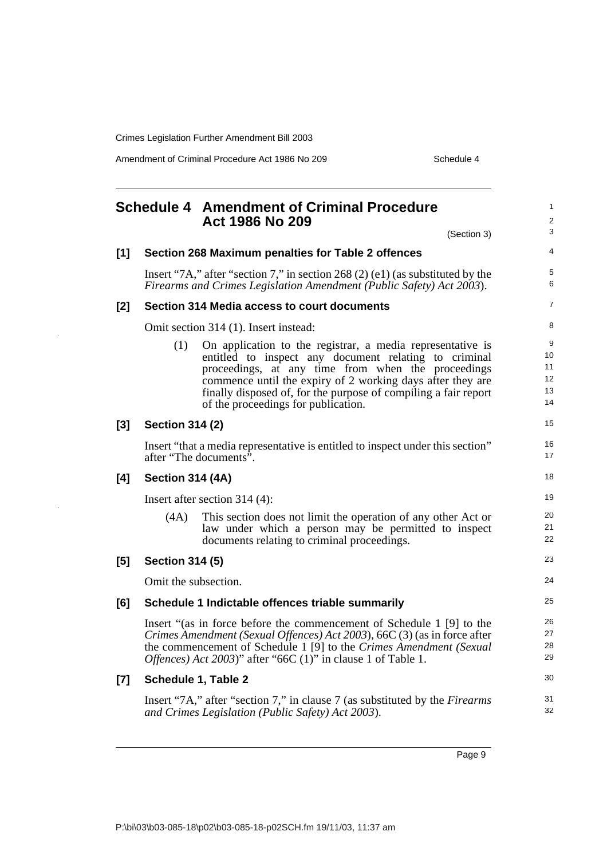$\ddot{\phantom{a}}$ 

Amendment of Criminal Procedure Act 1986 No 209 Schedule 4

|       |                         | <b>Schedule 4 Amendment of Criminal Procedure</b><br>Act 1986 No 209                                                                                                                                                                                                                                                                              | 1<br>$\overline{2}$             |
|-------|-------------------------|---------------------------------------------------------------------------------------------------------------------------------------------------------------------------------------------------------------------------------------------------------------------------------------------------------------------------------------------------|---------------------------------|
|       |                         | (Section 3)                                                                                                                                                                                                                                                                                                                                       | 3                               |
| $[1]$ |                         | Section 268 Maximum penalties for Table 2 offences                                                                                                                                                                                                                                                                                                | 4                               |
|       |                         | Insert "7A," after "section 7," in section 268 (2) (e1) (as substituted by the<br>Firearms and Crimes Legislation Amendment (Public Safety) Act 2003).                                                                                                                                                                                            | 5<br>6                          |
| [2]   |                         | Section 314 Media access to court documents                                                                                                                                                                                                                                                                                                       | $\overline{7}$                  |
|       |                         | Omit section 314 (1). Insert instead:                                                                                                                                                                                                                                                                                                             | 8                               |
|       | (1)                     | On application to the registrar, a media representative is<br>entitled to inspect any document relating to criminal<br>proceedings, at any time from when the proceedings<br>commence until the expiry of 2 working days after they are<br>finally disposed of, for the purpose of compiling a fair report<br>of the proceedings for publication. | 9<br>10<br>11<br>12<br>13<br>14 |
| [3]   | <b>Section 314 (2)</b>  |                                                                                                                                                                                                                                                                                                                                                   | 15                              |
|       |                         | Insert "that a media representative is entitled to inspect under this section"<br>after "The documents".                                                                                                                                                                                                                                          | 16<br>17                        |
| [4]   | <b>Section 314 (4A)</b> |                                                                                                                                                                                                                                                                                                                                                   | 18                              |
|       |                         | Insert after section $314(4)$ :                                                                                                                                                                                                                                                                                                                   | 19                              |
|       | (4A)                    | This section does not limit the operation of any other Act or<br>law under which a person may be permitted to inspect<br>documents relating to criminal proceedings.                                                                                                                                                                              | 20<br>21<br>22                  |
| [5]   | <b>Section 314 (5)</b>  |                                                                                                                                                                                                                                                                                                                                                   | 23                              |
|       | Omit the subsection.    |                                                                                                                                                                                                                                                                                                                                                   | 24                              |
| [6]   |                         | Schedule 1 Indictable offences triable summarily                                                                                                                                                                                                                                                                                                  | 25                              |
|       |                         | Insert "(as in force before the commencement of Schedule 1 [9] to the<br>Crimes Amendment (Sexual Offences) Act 2003), 66C (3) (as in force after<br>the commencement of Schedule 1 [9] to the Crimes Amendment (Sexual<br>Offences) Act 2003)" after "66C (1)" in clause 1 of Table 1.                                                           | 26<br>27<br>28<br>29            |
| $[7]$ |                         | Schedule 1, Table 2                                                                                                                                                                                                                                                                                                                               | 30                              |
|       |                         | Insert "7A," after "section 7," in clause 7 (as substituted by the <i>Firearms</i><br>and Crimes Legislation (Public Safety) Act 2003).                                                                                                                                                                                                           | 31<br>32                        |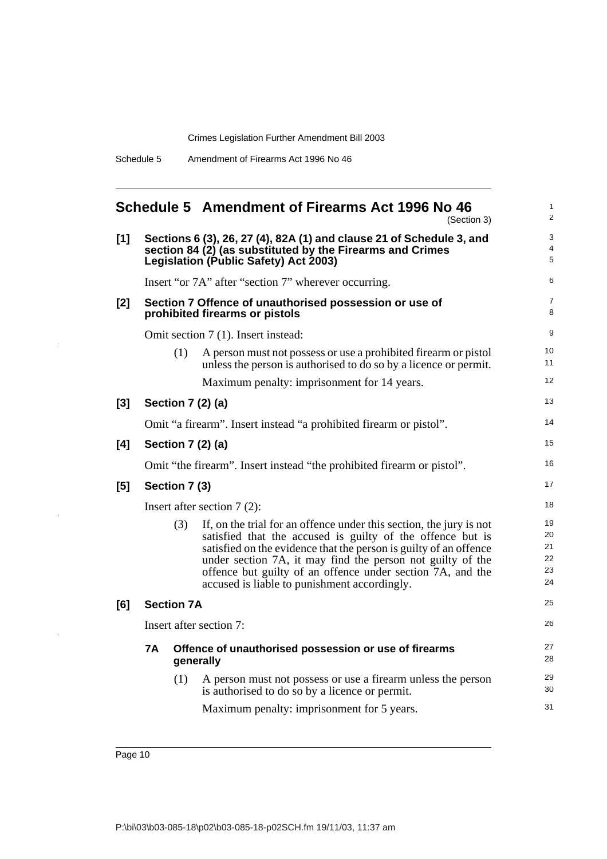|       |    |                   | Schedule 5 Amendment of Firearms Act 1996 No 46<br>(Section 3)                                                                                                                                                                                                                                                                                                                     | $\mathbf{1}$<br>2                |
|-------|----|-------------------|------------------------------------------------------------------------------------------------------------------------------------------------------------------------------------------------------------------------------------------------------------------------------------------------------------------------------------------------------------------------------------|----------------------------------|
| $[1]$ |    |                   | Sections 6 (3), 26, 27 (4), 82A (1) and clause 21 of Schedule 3, and<br>section 84 (2) (as substituted by the Firearms and Crimes<br>Legislation (Public Safety) Act 2003)                                                                                                                                                                                                         | 3<br>4<br>5                      |
|       |    |                   | Insert "or 7A" after "section 7" wherever occurring.                                                                                                                                                                                                                                                                                                                               | 6                                |
| [2]   |    |                   | Section 7 Offence of unauthorised possession or use of<br>prohibited firearms or pistols                                                                                                                                                                                                                                                                                           | $\overline{7}$<br>8              |
|       |    |                   | Omit section 7 (1). Insert instead:                                                                                                                                                                                                                                                                                                                                                | 9                                |
|       |    | (1)               | A person must not possess or use a prohibited firearm or pistol<br>unless the person is authorised to do so by a licence or permit.                                                                                                                                                                                                                                                | 10<br>11                         |
|       |    |                   | Maximum penalty: imprisonment for 14 years.                                                                                                                                                                                                                                                                                                                                        | 12                               |
| [3]   |    |                   | Section 7 (2) (a)                                                                                                                                                                                                                                                                                                                                                                  | 13                               |
|       |    |                   | Omit "a firearm". Insert instead "a prohibited firearm or pistol".                                                                                                                                                                                                                                                                                                                 | 14                               |
| [4]   |    |                   | Section 7 (2) (a)                                                                                                                                                                                                                                                                                                                                                                  | 15                               |
|       |    |                   | Omit "the firearm". Insert instead "the prohibited firearm or pistol".                                                                                                                                                                                                                                                                                                             | 16                               |
| [5]   |    | Section 7 (3)     |                                                                                                                                                                                                                                                                                                                                                                                    | 17                               |
|       |    |                   | Insert after section $7(2)$ :                                                                                                                                                                                                                                                                                                                                                      | 18                               |
|       |    | (3)               | If, on the trial for an offence under this section, the jury is not<br>satisfied that the accused is guilty of the offence but is<br>satisfied on the evidence that the person is guilty of an offence<br>under section 7A, it may find the person not guilty of the<br>offence but guilty of an offence under section 7A, and the<br>accused is liable to punishment accordingly. | 19<br>20<br>21<br>22<br>23<br>24 |
| [6]   |    | <b>Section 7A</b> |                                                                                                                                                                                                                                                                                                                                                                                    | 25                               |
|       |    |                   | Insert after section 7:                                                                                                                                                                                                                                                                                                                                                            | 26                               |
|       | 7A |                   | Offence of unauthorised possession or use of firearms<br>generally                                                                                                                                                                                                                                                                                                                 | 27<br>28                         |
|       |    | (1)               | A person must not possess or use a firearm unless the person<br>is authorised to do so by a licence or permit.                                                                                                                                                                                                                                                                     | 29<br>30                         |

31

Maximum penalty: imprisonment for 5 years.

Page 10

l.

l,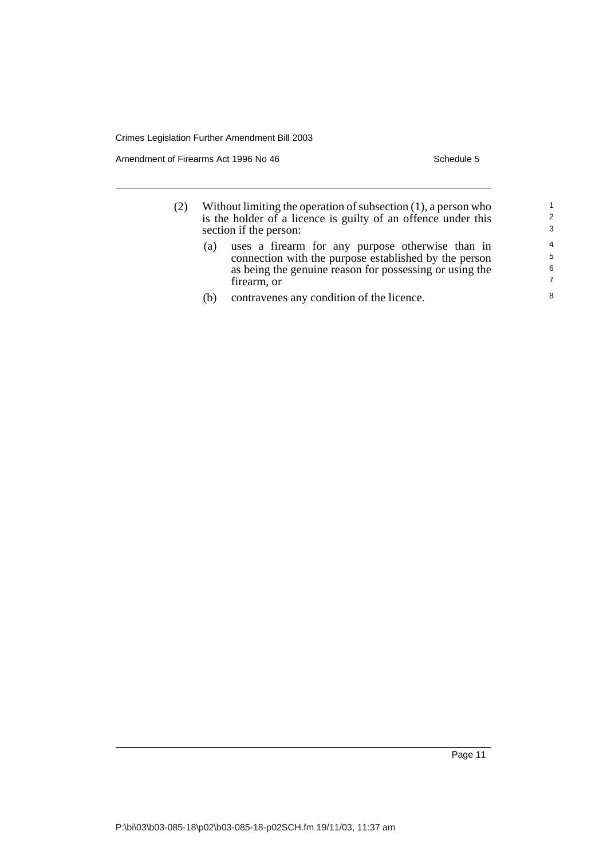Amendment of Firearms Act 1996 No 46 Schedule 5

| (2) | Without limiting the operation of subsection $(1)$ , a person who<br>is the holder of a licence is guilty of an offence under this<br>section if the person: |                                                                                                                                                                                     |                                            |  |
|-----|--------------------------------------------------------------------------------------------------------------------------------------------------------------|-------------------------------------------------------------------------------------------------------------------------------------------------------------------------------------|--------------------------------------------|--|
|     | (a)                                                                                                                                                          | uses a firearm for any purpose otherwise than in<br>connection with the purpose established by the person<br>as being the genuine reason for possessing or using the<br>firearm, or | $\overline{4}$<br>5<br>6<br>$\overline{7}$ |  |
|     | (b)                                                                                                                                                          | contravenes any condition of the licence.                                                                                                                                           | 8                                          |  |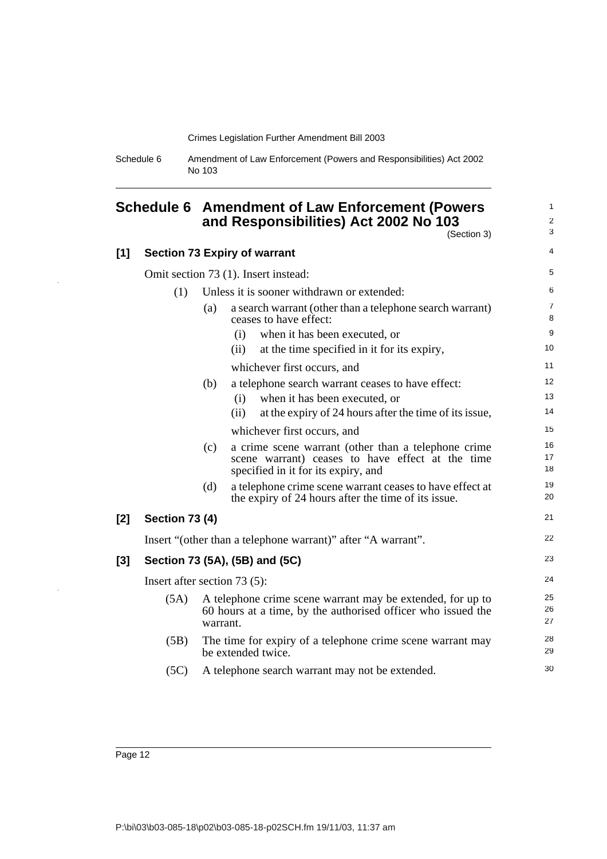Schedule 6 Amendment of Law Enforcement (Powers and Responsibilities) Act 2002 No 103

## **Schedule 6 Amendment of Law Enforcement (Powers and Responsibilities) Act 2002 No 103**

(Section 3)

1 2 3

| [1]   |                                                   |          | <b>Section 73 Expiry of warrant</b>                                                                                                            | 4                   |  |
|-------|---------------------------------------------------|----------|------------------------------------------------------------------------------------------------------------------------------------------------|---------------------|--|
|       |                                                   |          | Omit section 73 (1). Insert instead:                                                                                                           | 5                   |  |
|       | Unless it is sooner withdrawn or extended:<br>(1) |          |                                                                                                                                                |                     |  |
|       |                                                   | (a)      | a search warrant (other than a telephone search warrant)<br>ceases to have effect:                                                             | $\overline{7}$<br>8 |  |
|       |                                                   |          | when it has been executed, or<br>(i)                                                                                                           | 9                   |  |
|       |                                                   |          | at the time specified in it for its expiry,<br>(ii)                                                                                            | 10                  |  |
|       |                                                   |          | whichever first occurs, and                                                                                                                    | 11                  |  |
|       |                                                   | (b)      | a telephone search warrant ceases to have effect:                                                                                              | 12                  |  |
|       |                                                   |          | when it has been executed, or<br>(i)                                                                                                           | 13                  |  |
|       |                                                   |          | at the expiry of 24 hours after the time of its issue,<br>(ii)                                                                                 | 14                  |  |
|       |                                                   |          | whichever first occurs, and                                                                                                                    | 15                  |  |
|       |                                                   | (c)      | a crime scene warrant (other than a telephone crime<br>scene warrant) ceases to have effect at the time<br>specified in it for its expiry, and | 16<br>17<br>18      |  |
|       |                                                   | (d)      | a telephone crime scene warrant ceases to have effect at<br>the expiry of 24 hours after the time of its issue.                                | 19<br>20            |  |
| [2]   | <b>Section 73 (4)</b>                             |          |                                                                                                                                                | 21                  |  |
|       |                                                   |          | Insert "(other than a telephone warrant)" after "A warrant".                                                                                   | 22                  |  |
| $[3]$ |                                                   |          | Section 73 (5A), (5B) and (5C)                                                                                                                 | 23                  |  |
|       | Insert after section $73(5)$ :                    |          |                                                                                                                                                | 24                  |  |
|       | (5A)                                              | warrant. | A telephone crime scene warrant may be extended, for up to<br>60 hours at a time, by the authorised officer who issued the                     | 25<br>26<br>27      |  |
|       | (5B)                                              |          | The time for expiry of a telephone crime scene warrant may<br>be extended twice.                                                               | 28<br>29            |  |
|       | (5C)                                              |          | A telephone search warrant may not be extended.                                                                                                | 30                  |  |
|       |                                                   |          |                                                                                                                                                |                     |  |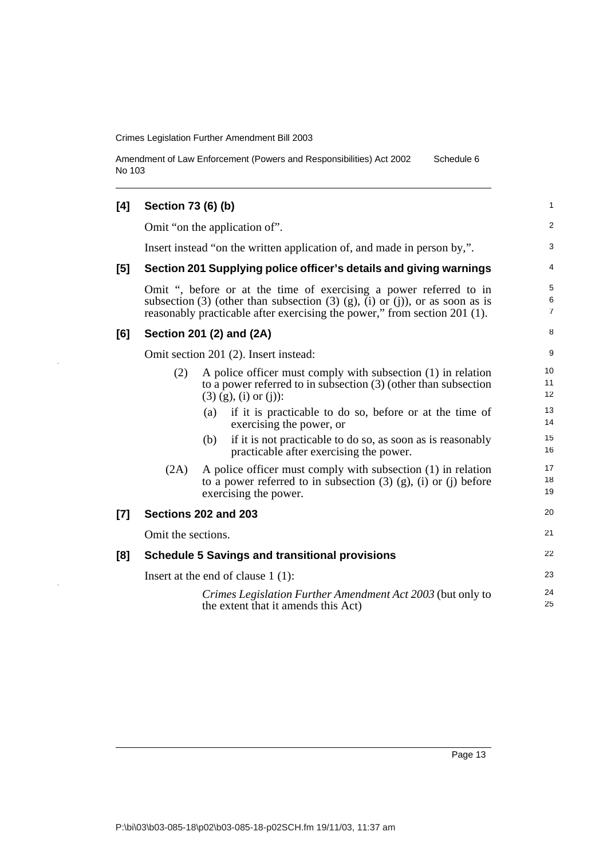Amendment of Law Enforcement (Powers and Responsibilities) Act 2002 No 103 Schedule 6

|      |                                                                                                                                                                   | 1                                                                                                                                                                                                                                                                                                                                                                                                                                                                                                                                                                                                                                                           |
|------|-------------------------------------------------------------------------------------------------------------------------------------------------------------------|-------------------------------------------------------------------------------------------------------------------------------------------------------------------------------------------------------------------------------------------------------------------------------------------------------------------------------------------------------------------------------------------------------------------------------------------------------------------------------------------------------------------------------------------------------------------------------------------------------------------------------------------------------------|
|      |                                                                                                                                                                   | $\overline{c}$                                                                                                                                                                                                                                                                                                                                                                                                                                                                                                                                                                                                                                              |
|      |                                                                                                                                                                   | 3                                                                                                                                                                                                                                                                                                                                                                                                                                                                                                                                                                                                                                                           |
|      |                                                                                                                                                                   | 4                                                                                                                                                                                                                                                                                                                                                                                                                                                                                                                                                                                                                                                           |
|      |                                                                                                                                                                   | 5<br>6<br>7                                                                                                                                                                                                                                                                                                                                                                                                                                                                                                                                                                                                                                                 |
|      |                                                                                                                                                                   | 8                                                                                                                                                                                                                                                                                                                                                                                                                                                                                                                                                                                                                                                           |
|      |                                                                                                                                                                   | 9                                                                                                                                                                                                                                                                                                                                                                                                                                                                                                                                                                                                                                                           |
| (2)  | A police officer must comply with subsection (1) in relation<br>to a power referred to in subsection $(3)$ (other than subsection<br>$(3)$ (g), (i) or (j)):      | 10<br>11<br>12                                                                                                                                                                                                                                                                                                                                                                                                                                                                                                                                                                                                                                              |
|      | if it is practicable to do so, before or at the time of<br>(a)<br>exercising the power, or                                                                        | 13<br>14                                                                                                                                                                                                                                                                                                                                                                                                                                                                                                                                                                                                                                                    |
|      | if it is not practicable to do so, as soon as is reasonably<br>(b)<br>practicable after exercising the power.                                                     | 15<br>16                                                                                                                                                                                                                                                                                                                                                                                                                                                                                                                                                                                                                                                    |
| (2A) | A police officer must comply with subsection (1) in relation<br>to a power referred to in subsection $(3)$ $(g)$ , $(i)$ or $(j)$ before<br>exercising the power. | 17<br>18<br>19                                                                                                                                                                                                                                                                                                                                                                                                                                                                                                                                                                                                                                              |
|      |                                                                                                                                                                   | 20                                                                                                                                                                                                                                                                                                                                                                                                                                                                                                                                                                                                                                                          |
|      |                                                                                                                                                                   | 21                                                                                                                                                                                                                                                                                                                                                                                                                                                                                                                                                                                                                                                          |
|      |                                                                                                                                                                   | 22                                                                                                                                                                                                                                                                                                                                                                                                                                                                                                                                                                                                                                                          |
|      |                                                                                                                                                                   | 23                                                                                                                                                                                                                                                                                                                                                                                                                                                                                                                                                                                                                                                          |
|      | Crimes Legislation Further Amendment Act 2003 (but only to<br>the extent that it amends this Act)                                                                 | 24<br>25                                                                                                                                                                                                                                                                                                                                                                                                                                                                                                                                                                                                                                                    |
|      |                                                                                                                                                                   | Section 73 (6) (b)<br>Omit "on the application of".<br>Insert instead "on the written application of, and made in person by,".<br>Section 201 Supplying police officer's details and giving warnings<br>Omit ", before or at the time of exercising a power referred to in<br>subsection (3) (other than subsection (3) (g), (i) or (j)), or as soon as is<br>reasonably practicable after exercising the power," from section 201 (1).<br>Section 201 (2) and (2A)<br>Omit section 201 (2). Insert instead:<br>Sections 202 and 203<br>Omit the sections.<br><b>Schedule 5 Savings and transitional provisions</b><br>Insert at the end of clause $1(1)$ : |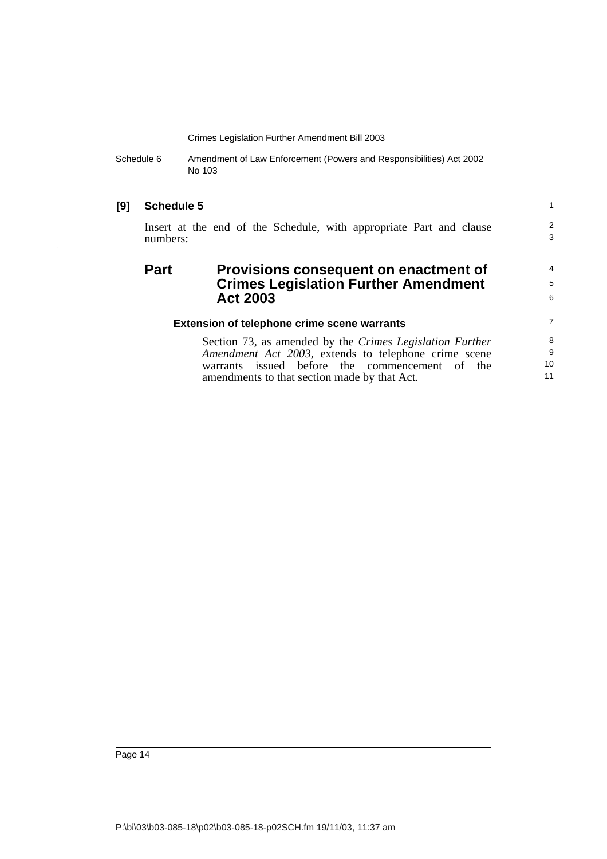Schedule 6 Amendment of Law Enforcement (Powers and Responsibilities) Act 2002 No 103

### **[9] Schedule 5**

Insert at the end of the Schedule, with appropriate Part and clause numbers:

### **Part Provisions consequent on enactment of Crimes Legislation Further Amendment Act 2003**

#### **Extension of telephone crime scene warrants**

Section 73, as amended by the *Crimes Legislation Further Amendment Act 2003*, extends to telephone crime scene warrants issued before the commencement of the amendments to that section made by that Act.

1 2 3

4 5 6